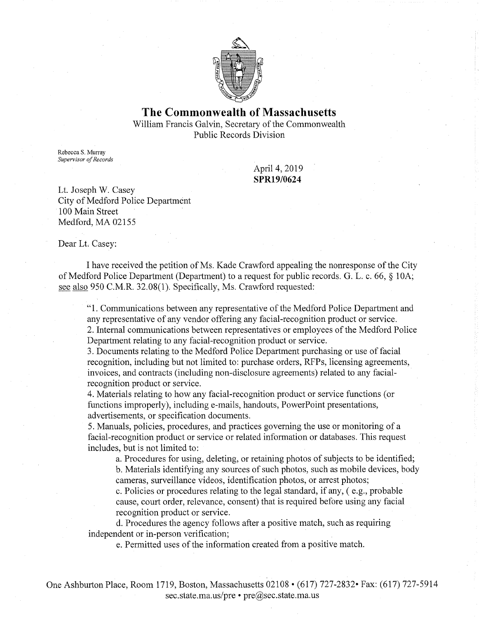

## **The Commonwealth of Massachusetts**

William Francis Galvin, Secretary of the Commonwealth Public Records Division

Rebecca S. Murray *Supervisor of Records* 

April 4, 2019 **SPR19/0624** 

Lt. Joseph W. Casey City of Medford Police Department 100 Main Street Medford, MA 02155

Dear Lt. Casey:

I have received the petition of Ms. Kade Crawford appealing the nonresponse of the City of Medford Police Department (Department) to a request for public records. G. L. c. 66, § IOA; see also 950 C.M.R. 32.08(1). Specifically, Ms. Crawford requested:

"1. Communications between any representative of the Medford Police Department and any representative of any vendor offering any facial-recognition product or service. 2. Internal communications between representatives or employees of the Medford Police

Department relating to any facial-recognition product or service.

3. Documents relating to the Medford Police Department purchasing or use of facial recognition, including but not limited to: purchase orders, RFPs, licensing agreements, invoices, and contracts (including non-disclosure agreements) related to any facialrecognition product or service.

4. Materials relating to how any facial-recognition product or service functions (or functions improperly), including e-mails, handouts, PowerPoint presentations, advertisements, or specification documents.

5. Manuals, policies, procedures, and practices governing the use or monitoring of a facial-recognition product or service or related information or databases. This request includes, but is not limited to:

a. Procedures for using, deleting, or retaining photos of subjects to be identified; b. Materials identifying any sources of such photos, such as mobile devices, body cameras, surveillance videos, identification photos, or arrest photos;

c. Policies or procedures relating to the legal standard, if any, ( e.g., probable cause, court order, relevance, consent) that is required before using any facial recognition product or service.

d. Procedures the agency follows after a positive match, such as requiring independent or in-person verification;

e. Permitted uses of the information created from a positive match.

One Ashburton Place, Room 1719, Boston, Massachusetts 02108 • (617) 727-2832• Fax: (617) 727-5914 sec.state.ma.us/pre • pre@sec.state.ma.us